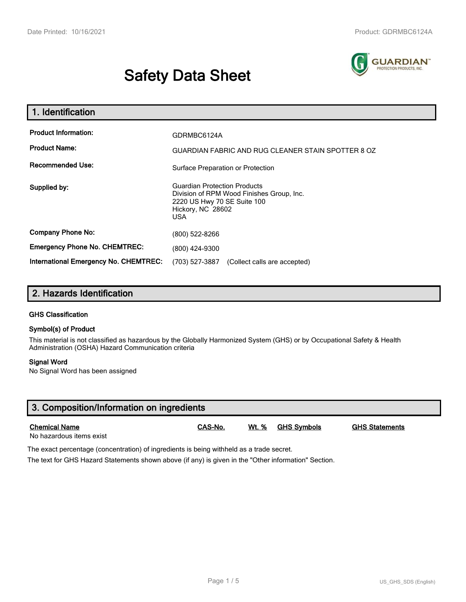# **Safety Data Sheet**



| 1. Identification                                                              |                                                                                                      |  |  |  |
|--------------------------------------------------------------------------------|------------------------------------------------------------------------------------------------------|--|--|--|
| <b>Product Information:</b><br><b>Product Name:</b><br><b>Recommended Use:</b> | GDRMBC6124A<br><b>GUARDIAN FABRIC AND RUG CLEANER STAIN SPOTTER 8 OZ</b>                             |  |  |  |
| Supplied by:                                                                   | Surface Preparation or Protection<br><b>Guardian Protection Products</b>                             |  |  |  |
|                                                                                | Division of RPM Wood Finishes Group, Inc.<br>2220 US Hwy 70 SE Suite 100<br>Hickory, NC 28602<br>USA |  |  |  |
| <b>Company Phone No:</b>                                                       | (800) 522-8266                                                                                       |  |  |  |
| <b>Emergency Phone No. CHEMTREC:</b>                                           | (800) 424-9300                                                                                       |  |  |  |
| <b>International Emergency No. CHEMTREC:</b>                                   | (703) 527-3887<br>(Collect calls are accepted)                                                       |  |  |  |

# **2. Hazards Identification**

#### **GHS Classification**

#### **Symbol(s) of Product**

This material is not classified as hazardous by the Globally Harmonized System (GHS) or by Occupational Safety & Health Administration (OSHA) Hazard Communication criteria

#### **Signal Word**

No Signal Word has been assigned

| 3. Composition/Information on ingredients        |         |              |                    |                       |  |
|--------------------------------------------------|---------|--------------|--------------------|-----------------------|--|
| <b>Chemical Name</b><br>No hazardous items exist | CAS-No. | <u>Wt. %</u> | <u>GHS Symbols</u> | <b>GHS Statements</b> |  |

The exact percentage (concentration) of ingredients is being withheld as a trade secret.

The text for GHS Hazard Statements shown above (if any) is given in the "Other information" Section.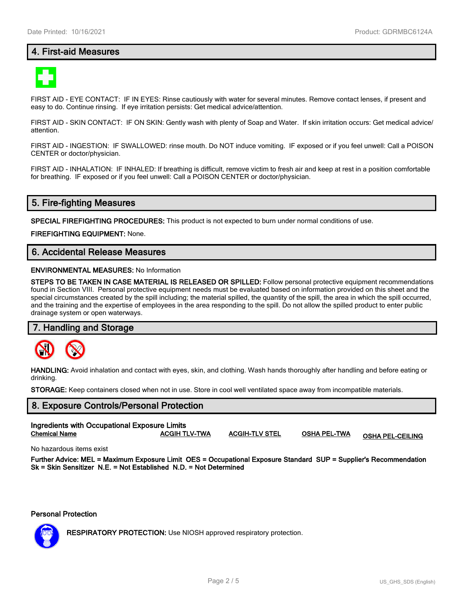# **4. First-aid Measures**



FIRST AID - EYE CONTACT: IF IN EYES: Rinse cautiously with water for several minutes. Remove contact lenses, if present and easy to do. Continue rinsing. If eye irritation persists: Get medical advice/attention.

FIRST AID - SKIN CONTACT: IF ON SKIN: Gently wash with plenty of Soap and Water. If skin irritation occurs: Get medical advice/ attention.

FIRST AID - INGESTION: IF SWALLOWED: rinse mouth. Do NOT induce vomiting. IF exposed or if you feel unwell: Call a POISON CENTER or doctor/physician.

FIRST AID - INHALATION: IF INHALED: If breathing is difficult, remove victim to fresh air and keep at rest in a position comfortable for breathing. IF exposed or if you feel unwell: Call a POISON CENTER or doctor/physician.

# **5. Fire-fighting Measures**

**SPECIAL FIREFIGHTING PROCEDURES:** This product is not expected to burn under normal conditions of use.

**FIREFIGHTING EQUIPMENT:** None.

# **6. Accidental Release Measures**

#### **ENVIRONMENTAL MEASURES:** No Information

**STEPS TO BE TAKEN IN CASE MATERIAL IS RELEASED OR SPILLED:** Follow personal protective equipment recommendations found in Section VIII. Personal protective equipment needs must be evaluated based on information provided on this sheet and the special circumstances created by the spill including; the material spilled, the quantity of the spill, the area in which the spill occurred, and the training and the expertise of employees in the area responding to the spill. Do not allow the spilled product to enter public drainage system or open waterways.

#### **7. Handling and Storage**



**HANDLING:** Avoid inhalation and contact with eyes, skin, and clothing. Wash hands thoroughly after handling and before eating or drinking.

**STORAGE:** Keep containers closed when not in use. Store in cool well ventilated space away from incompatible materials.

# **8. Exposure Controls/Personal Protection Ingredients with Occupational Exposure Limits Chemical Name ACGIH TLV-TWA ACGIH-TLV STEL OSHA PEL-TWA OSHA PEL-CEILING**

No hazardous items exist

**Further Advice: MEL = Maximum Exposure Limit OES = Occupational Exposure Standard SUP = Supplier's Recommendation Sk = Skin Sensitizer N.E. = Not Established N.D. = Not Determined**

**Personal Protection**



**RESPIRATORY PROTECTION:** Use NIOSH approved respiratory protection.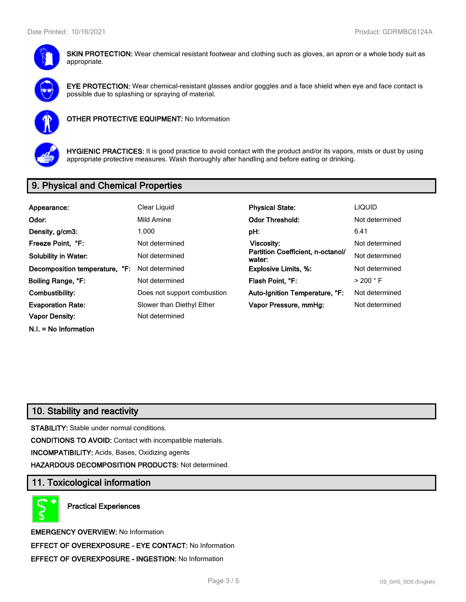

**SKIN PROTECTION:** Wear chemical resistant footwear and clothing such as gloves, an apron or a whole body suit as appropriate.



**EYE PROTECTION:** Wear chemical-resistant glasses and/or goggles and a face shield when eye and face contact is possible due to splashing or spraying of material.



**OTHER PROTECTIVE EQUIPMENT:** No Information



**HYGIENIC PRACTICES:** It is good practice to avoid contact with the product and/or its vapors, mists or dust by using appropriate protective measures. Wash thoroughly after handling and before eating or drinking.

# **9. Physical and Chemical Properties**

| Appearance:                    | Clear Liquid                | <b>Physical State:</b>                      | <b>LIQUID</b>        |
|--------------------------------|-----------------------------|---------------------------------------------|----------------------|
| Odor:                          | Mild Amine                  | <b>Odor Threshold:</b>                      | Not determined       |
| Density, g/cm3:                | 1.000                       | pH:                                         | 6.41                 |
| Freeze Point, °F:              | Not determined              | Viscosity:                                  | Not determined       |
| <b>Solubility in Water:</b>    | Not determined              | Partition Coefficient, n-octanol/<br>water: | Not determined       |
| Decomposition temperature, °F: | Not determined              | <b>Explosive Limits, %:</b>                 | Not determined       |
| Boiling Range, °F:             | Not determined              | Flash Point, °F:                            | $>$ 200 $^{\circ}$ F |
| Combustibility:                | Does not support combustion | Auto-Ignition Temperature, °F:              | Not determined       |
| <b>Evaporation Rate:</b>       | Slower than Diethyl Ether   | Vapor Pressure, mmHq:                       | Not determined       |
| <b>Vapor Density:</b>          | Not determined              |                                             |                      |
| $N.I. = No Information$        |                             |                                             |                      |

# **10. Stability and reactivity**

**STABILITY:** Stable under normal conditions.

**CONDITIONS TO AVOID:** Contact with incompatible materials.

**INCOMPATIBILITY:** Acids, Bases, Oxidizing agents

**HAZARDOUS DECOMPOSITION PRODUCTS:** Not determined.

# **11. Toxicological information**

**Practical Experiences**

**EMERGENCY OVERVIEW:** No Information **EFFECT OF OVEREXPOSURE - EYE CONTACT:** No Information **EFFECT OF OVEREXPOSURE - INGESTION:** No Information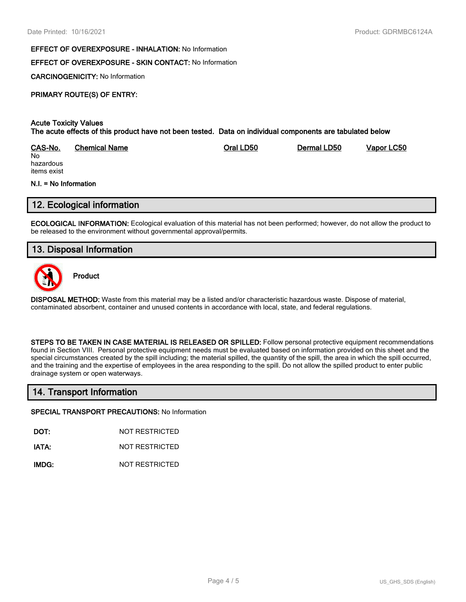#### **EFFECT OF OVEREXPOSURE - INHALATION:** No Information

## **EFFECT OF OVEREXPOSURE - SKIN CONTACT:** No Information

**CARCINOGENICITY:** No Information

# **PRIMARY ROUTE(S) OF ENTRY:**

#### **Acute Toxicity Values The acute effects of this product have not been tested. Data on individual components are tabulated below**

| CAS-No.   | <b>Chemical Name</b> | Oral LD50 | Dermal LD50 | Vapor LC50 |
|-----------|----------------------|-----------|-------------|------------|
| No        |                      |           |             |            |
| hazardous |                      |           |             |            |

hazardous items exist

#### **N.I. = No Information**

# **12. Ecological information**

**ECOLOGICAL INFORMATION:** Ecological evaluation of this material has not been performed; however, do not allow the product to be released to the environment without governmental approval/permits.

# **13. Disposal Information**



**Product**

**DISPOSAL METHOD:** Waste from this material may be a listed and/or characteristic hazardous waste. Dispose of material, contaminated absorbent, container and unused contents in accordance with local, state, and federal regulations.

**STEPS TO BE TAKEN IN CASE MATERIAL IS RELEASED OR SPILLED:** Follow personal protective equipment recommendations found in Section VIII. Personal protective equipment needs must be evaluated based on information provided on this sheet and the special circumstances created by the spill including; the material spilled, the quantity of the spill, the area in which the spill occurred, and the training and the expertise of employees in the area responding to the spill. Do not allow the spilled product to enter public drainage system or open waterways.

## **14. Transport Information**

#### **SPECIAL TRANSPORT PRECAUTIONS:** No Information

**DOT:** NOT RESTRICTED

**IATA:** NOT RESTRICTED

**IMDG:** NOT RESTRICTED